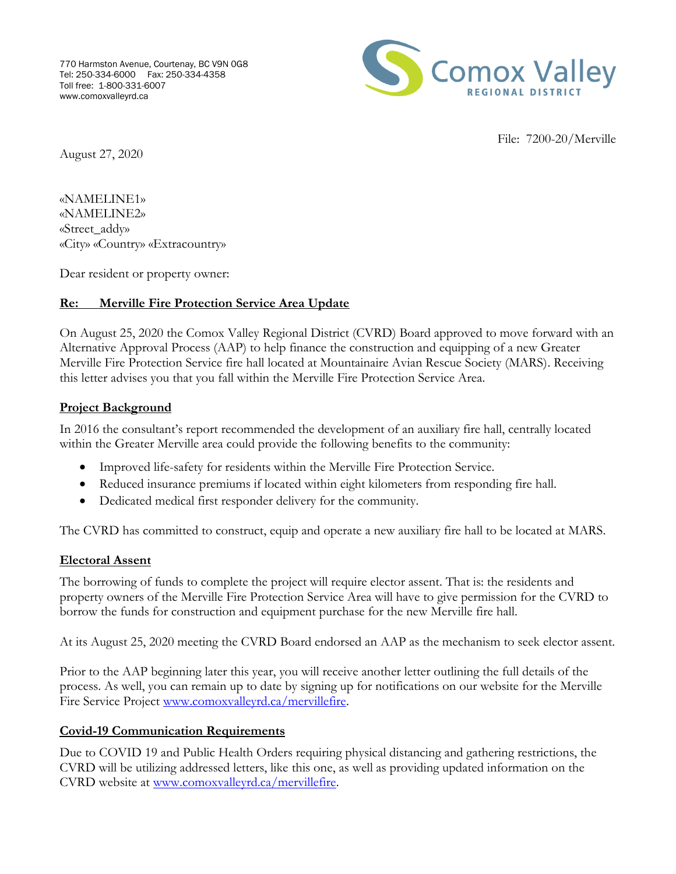

File: 7200-20/Merville

August 27, 2020

«NAMELINE1» «NAMELINE2» «Street\_addy» «City» «Country» «Extracountry»

Dear resident or property owner:

## **Re: Merville Fire Protection Service Area Update**

On August 25, 2020 the Comox Valley Regional District (CVRD) Board approved to move forward with an Alternative Approval Process (AAP) to help finance the construction and equipping of a new Greater Merville Fire Protection Service fire hall located at Mountainaire Avian Rescue Society (MARS). Receiving this letter advises you that you fall within the Merville Fire Protection Service Area.

#### **Project Background**

In 2016 the consultant's report recommended the development of an auxiliary fire hall, centrally located within the Greater Merville area could provide the following benefits to the community:

- Improved life-safety for residents within the Merville Fire Protection Service.
- Reduced insurance premiums if located within eight kilometers from responding fire hall.
- Dedicated medical first responder delivery for the community.

The CVRD has committed to construct, equip and operate a new auxiliary fire hall to be located at MARS.

### **Electoral Assent**

The borrowing of funds to complete the project will require elector assent. That is: the residents and property owners of the Merville Fire Protection Service Area will have to give permission for the CVRD to borrow the funds for construction and equipment purchase for the new Merville fire hall.

At its August 25, 2020 meeting the CVRD Board endorsed an AAP as the mechanism to seek elector assent.

Prior to the AAP beginning later this year, you will receive another letter outlining the full details of the process. As well, you can remain up to date by signing up for notifications on our website for the Merville Fire Service Project [www.comoxvalleyrd.ca/mervillefire.](http://www.comoxvalleyrd.ca/mervillefire)

### **Covid-19 Communication Requirements**

Due to COVID 19 and Public Health Orders requiring physical distancing and gathering restrictions, the CVRD will be utilizing addressed letters, like this one, as well as providing updated information on the CVRD website at [www.comoxvalleyrd.ca/mervillefire.](http://www.comoxvalleyrd.ca/mervillefire)